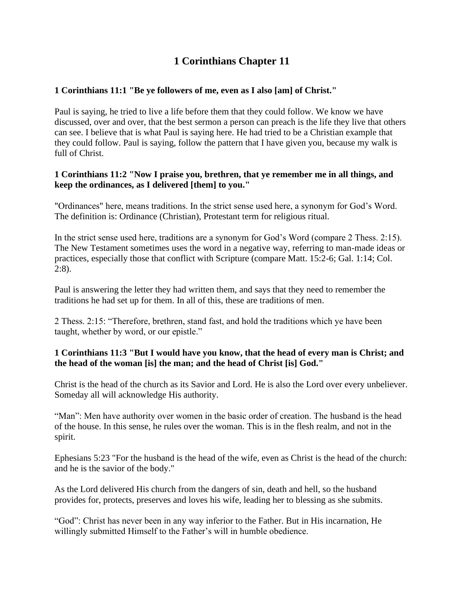## **1 Corinthians Chapter 11**

## **1 Corinthians 11:1 "Be ye followers of me, even as I also [am] of Christ."**

Paul is saying, he tried to live a life before them that they could follow. We know we have discussed, over and over, that the best sermon a person can preach is the life they live that others can see. I believe that is what Paul is saying here. He had tried to be a Christian example that they could follow. Paul is saying, follow the pattern that I have given you, because my walk is full of Christ.

#### **1 Corinthians 11:2 "Now I praise you, brethren, that ye remember me in all things, and keep the ordinances, as I delivered [them] to you."**

"Ordinances" here, means traditions. In the strict sense used here, a synonym for God's Word. The definition is: Ordinance (Christian), Protestant term for religious ritual.

In the strict sense used here, traditions are a synonym for God's Word (compare 2 Thess. 2:15). The New Testament sometimes uses the word in a negative way, referring to man-made ideas or practices, especially those that conflict with Scripture (compare Matt. 15:2-6; Gal. 1:14; Col. 2:8).

Paul is answering the letter they had written them, and says that they need to remember the traditions he had set up for them. In all of this, these are traditions of men.

2 Thess. 2:15: "Therefore, brethren, stand fast, and hold the traditions which ye have been taught, whether by word, or our epistle."

## **1 Corinthians 11:3 "But I would have you know, that the head of every man is Christ; and the head of the woman [is] the man; and the head of Christ [is] God."**

Christ is the head of the church as its Savior and Lord. He is also the Lord over every unbeliever. Someday all will acknowledge His authority.

"Man": Men have authority over women in the basic order of creation. The husband is the head of the house. In this sense, he rules over the woman. This is in the flesh realm, and not in the spirit.

Ephesians 5:23 "For the husband is the head of the wife, even as Christ is the head of the church: and he is the savior of the body."

As the Lord delivered His church from the dangers of sin, death and hell, so the husband provides for, protects, preserves and loves his wife, leading her to blessing as she submits.

"God": Christ has never been in any way inferior to the Father. But in His incarnation, He willingly submitted Himself to the Father's will in humble obedience.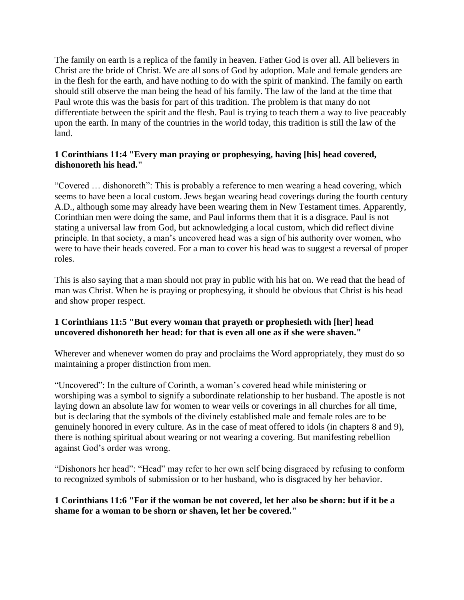The family on earth is a replica of the family in heaven. Father God is over all. All believers in Christ are the bride of Christ. We are all sons of God by adoption. Male and female genders are in the flesh for the earth, and have nothing to do with the spirit of mankind. The family on earth should still observe the man being the head of his family. The law of the land at the time that Paul wrote this was the basis for part of this tradition. The problem is that many do not differentiate between the spirit and the flesh. Paul is trying to teach them a way to live peaceably upon the earth. In many of the countries in the world today, this tradition is still the law of the land.

## **1 Corinthians 11:4 "Every man praying or prophesying, having [his] head covered, dishonoreth his head."**

"Covered … dishonoreth": This is probably a reference to men wearing a head covering, which seems to have been a local custom. Jews began wearing head coverings during the fourth century A.D., although some may already have been wearing them in New Testament times. Apparently, Corinthian men were doing the same, and Paul informs them that it is a disgrace. Paul is not stating a universal law from God, but acknowledging a local custom, which did reflect divine principle. In that society, a man's uncovered head was a sign of his authority over women, who were to have their heads covered. For a man to cover his head was to suggest a reversal of proper roles.

This is also saying that a man should not pray in public with his hat on. We read that the head of man was Christ. When he is praying or prophesying, it should be obvious that Christ is his head and show proper respect.

## **1 Corinthians 11:5 "But every woman that prayeth or prophesieth with [her] head uncovered dishonoreth her head: for that is even all one as if she were shaven."**

Wherever and whenever women do pray and proclaims the Word appropriately, they must do so maintaining a proper distinction from men.

"Uncovered": In the culture of Corinth, a woman's covered head while ministering or worshiping was a symbol to signify a subordinate relationship to her husband. The apostle is not laying down an absolute law for women to wear veils or coverings in all churches for all time, but is declaring that the symbols of the divinely established male and female roles are to be genuinely honored in every culture. As in the case of meat offered to idols (in chapters 8 and 9), there is nothing spiritual about wearing or not wearing a covering. But manifesting rebellion against God's order was wrong.

"Dishonors her head": "Head" may refer to her own self being disgraced by refusing to conform to recognized symbols of submission or to her husband, who is disgraced by her behavior.

## **1 Corinthians 11:6 "For if the woman be not covered, let her also be shorn: but if it be a shame for a woman to be shorn or shaven, let her be covered."**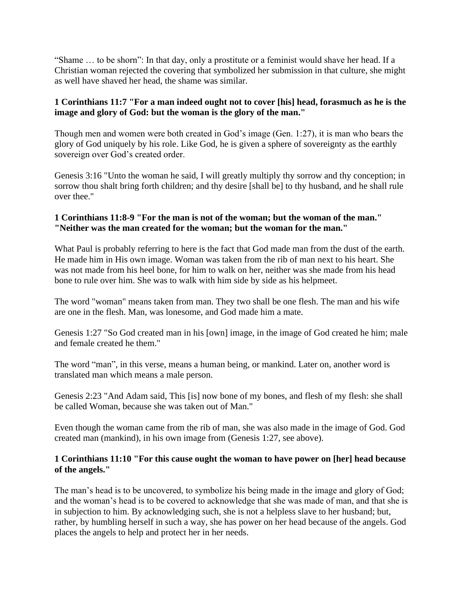"Shame … to be shorn": In that day, only a prostitute or a feminist would shave her head. If a Christian woman rejected the covering that symbolized her submission in that culture, she might as well have shaved her head, the shame was similar.

## **1 Corinthians 11:7 "For a man indeed ought not to cover [his] head, forasmuch as he is the image and glory of God: but the woman is the glory of the man."**

Though men and women were both created in God's image (Gen. 1:27), it is man who bears the glory of God uniquely by his role. Like God, he is given a sphere of sovereignty as the earthly sovereign over God's created order.

Genesis 3:16 "Unto the woman he said, I will greatly multiply thy sorrow and thy conception; in sorrow thou shalt bring forth children; and thy desire [shall be] to thy husband, and he shall rule over thee."

#### **1 Corinthians 11:8-9 "For the man is not of the woman; but the woman of the man." "Neither was the man created for the woman; but the woman for the man."**

What Paul is probably referring to here is the fact that God made man from the dust of the earth. He made him in His own image. Woman was taken from the rib of man next to his heart. She was not made from his heel bone, for him to walk on her, neither was she made from his head bone to rule over him. She was to walk with him side by side as his helpmeet.

The word "woman" means taken from man. They two shall be one flesh. The man and his wife are one in the flesh. Man, was lonesome, and God made him a mate.

Genesis 1:27 "So God created man in his [own] image, in the image of God created he him; male and female created he them."

The word "man", in this verse, means a human being, or mankind. Later on, another word is translated man which means a male person.

Genesis 2:23 "And Adam said, This [is] now bone of my bones, and flesh of my flesh: she shall be called Woman, because she was taken out of Man."

Even though the woman came from the rib of man, she was also made in the image of God. God created man (mankind), in his own image from (Genesis 1:27, see above).

#### **1 Corinthians 11:10 "For this cause ought the woman to have power on [her] head because of the angels."**

The man's head is to be uncovered, to symbolize his being made in the image and glory of God; and the woman's head is to be covered to acknowledge that she was made of man, and that she is in subjection to him. By acknowledging such, she is not a helpless slave to her husband; but, rather, by humbling herself in such a way, she has power on her head because of the angels. God places the angels to help and protect her in her needs.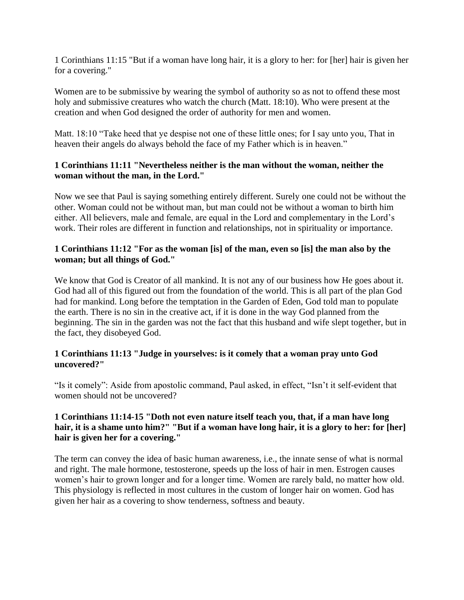1 Corinthians 11:15 "But if a woman have long hair, it is a glory to her: for [her] hair is given her for a covering."

Women are to be submissive by wearing the symbol of authority so as not to offend these most holy and submissive creatures who watch the church (Matt. 18:10). Who were present at the creation and when God designed the order of authority for men and women.

Matt. 18:10 "Take heed that ye despise not one of these little ones; for I say unto you, That in heaven their angels do always behold the face of my Father which is in heaven."

#### **1 Corinthians 11:11 "Nevertheless neither is the man without the woman, neither the woman without the man, in the Lord."**

Now we see that Paul is saying something entirely different. Surely one could not be without the other. Woman could not be without man, but man could not be without a woman to birth him either. All believers, male and female, are equal in the Lord and complementary in the Lord's work. Their roles are different in function and relationships, not in spirituality or importance.

## **1 Corinthians 11:12 "For as the woman [is] of the man, even so [is] the man also by the woman; but all things of God."**

We know that God is Creator of all mankind. It is not any of our business how He goes about it. God had all of this figured out from the foundation of the world. This is all part of the plan God had for mankind. Long before the temptation in the Garden of Eden, God told man to populate the earth. There is no sin in the creative act, if it is done in the way God planned from the beginning. The sin in the garden was not the fact that this husband and wife slept together, but in the fact, they disobeyed God.

#### **1 Corinthians 11:13 "Judge in yourselves: is it comely that a woman pray unto God uncovered?"**

"Is it comely": Aside from apostolic command, Paul asked, in effect, "Isn't it self-evident that women should not be uncovered?

## **1 Corinthians 11:14-15 "Doth not even nature itself teach you, that, if a man have long hair, it is a shame unto him?" "But if a woman have long hair, it is a glory to her: for [her] hair is given her for a covering."**

The term can convey the idea of basic human awareness, i.e., the innate sense of what is normal and right. The male hormone, testosterone, speeds up the loss of hair in men. Estrogen causes women's hair to grown longer and for a longer time. Women are rarely bald, no matter how old. This physiology is reflected in most cultures in the custom of longer hair on women. God has given her hair as a covering to show tenderness, softness and beauty.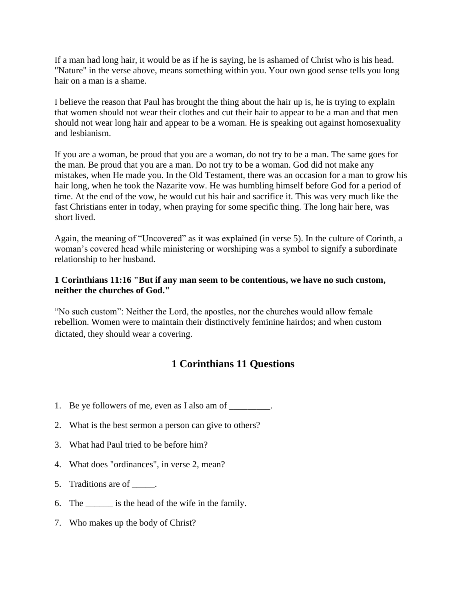If a man had long hair, it would be as if he is saying, he is ashamed of Christ who is his head. "Nature" in the verse above, means something within you. Your own good sense tells you long hair on a man is a shame.

I believe the reason that Paul has brought the thing about the hair up is, he is trying to explain that women should not wear their clothes and cut their hair to appear to be a man and that men should not wear long hair and appear to be a woman. He is speaking out against homosexuality and lesbianism.

If you are a woman, be proud that you are a woman, do not try to be a man. The same goes for the man. Be proud that you are a man. Do not try to be a woman. God did not make any mistakes, when He made you. In the Old Testament, there was an occasion for a man to grow his hair long, when he took the Nazarite vow. He was humbling himself before God for a period of time. At the end of the vow, he would cut his hair and sacrifice it. This was very much like the fast Christians enter in today, when praying for some specific thing. The long hair here, was short lived.

Again, the meaning of "Uncovered" as it was explained (in verse 5). In the culture of Corinth, a woman's covered head while ministering or worshiping was a symbol to signify a subordinate relationship to her husband.

#### **1 Corinthians 11:16 "But if any man seem to be contentious, we have no such custom, neither the churches of God."**

"No such custom": Neither the Lord, the apostles, nor the churches would allow female rebellion. Women were to maintain their distinctively feminine hairdos; and when custom dictated, they should wear a covering.

# **1 Corinthians 11 Questions**

- 1. Be ye followers of me, even as I also am of  $\qquad \qquad$ .
- 2. What is the best sermon a person can give to others?
- 3. What had Paul tried to be before him?
- 4. What does "ordinances", in verse 2, mean?
- 5. Traditions are of  $\qquad$ .
- 6. The \_\_\_\_\_\_ is the head of the wife in the family.
- 7. Who makes up the body of Christ?